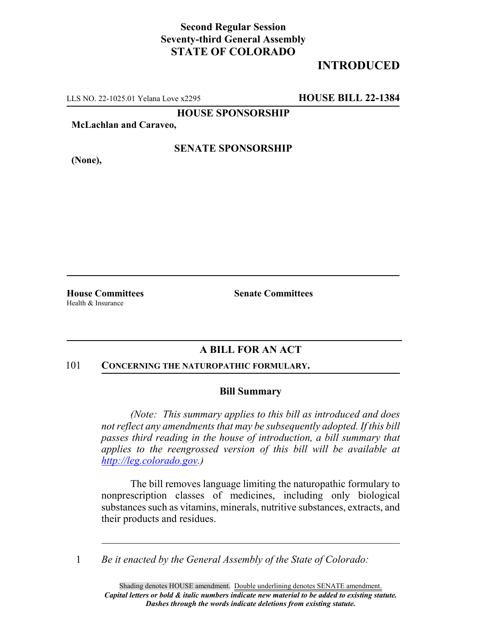## **Second Regular Session Seventy-third General Assembly STATE OF COLORADO**

# **INTRODUCED**

LLS NO. 22-1025.01 Yelana Love x2295 **HOUSE BILL 22-1384**

**HOUSE SPONSORSHIP**

**McLachlan and Caraveo,**

**SENATE SPONSORSHIP**

Health & Insurance

**(None),**

**House Committees Senate Committees**

### **A BILL FOR AN ACT**

#### 101 **CONCERNING THE NATUROPATHIC FORMULARY.**

#### **Bill Summary**

*(Note: This summary applies to this bill as introduced and does not reflect any amendments that may be subsequently adopted. If this bill passes third reading in the house of introduction, a bill summary that applies to the reengrossed version of this bill will be available at http://leg.colorado.gov.)*

The bill removes language limiting the naturopathic formulary to nonprescription classes of medicines, including only biological substances such as vitamins, minerals, nutritive substances, extracts, and their products and residues.

1 *Be it enacted by the General Assembly of the State of Colorado:*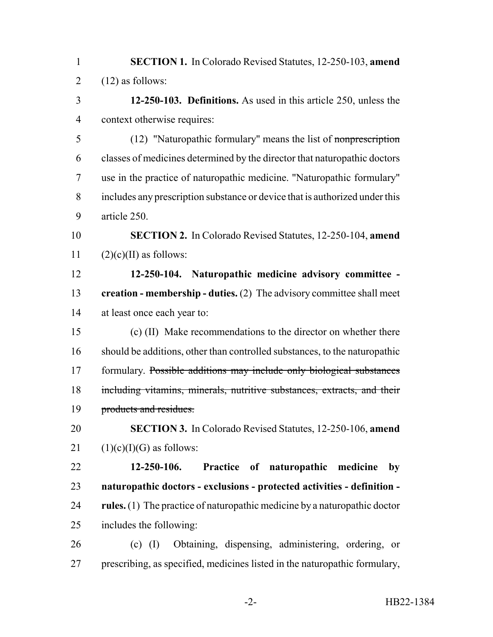- **SECTION 1.** In Colorado Revised Statutes, 12-250-103, **amend** 2  $(12)$  as follows:
- **12-250-103. Definitions.** As used in this article 250, unless the context otherwise requires:

5 (12) "Naturopathic formulary" means the list of nonprescription classes of medicines determined by the director that naturopathic doctors use in the practice of naturopathic medicine. "Naturopathic formulary" includes any prescription substance or device that is authorized under this article 250.

 **SECTION 2.** In Colorado Revised Statutes, 12-250-104, **amend** 11  $(2)(c)(II)$  as follows:

 **12-250-104. Naturopathic medicine advisory committee - creation - membership - duties.** (2) The advisory committee shall meet at least once each year to:

 (c) (II) Make recommendations to the director on whether there should be additions, other than controlled substances, to the naturopathic formulary. Possible additions may include only biological substances 18 including vitamins, minerals, nutritive substances, extracts, and their 19 products and residues.

 **SECTION 3.** In Colorado Revised Statutes, 12-250-106, **amend** 21  $(1)(c)(I)(G)$  as follows:

 **12-250-106. Practice of naturopathic medicine by naturopathic doctors - exclusions - protected activities - definition - rules.** (1) The practice of naturopathic medicine by a naturopathic doctor includes the following:

 (c) (I) Obtaining, dispensing, administering, ordering, or prescribing, as specified, medicines listed in the naturopathic formulary,